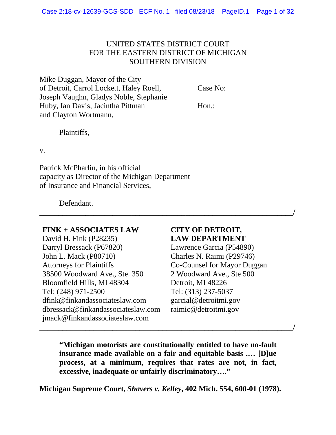# UNITED STATES DISTRICT COURT FOR THE EASTERN DISTRICT OF MICHIGAN SOUTHERN DIVISION

Mike Duggan, Mayor of the City of Detroit, Carrol Lockett, Haley Roell, Case No: Joseph Vaughn, Gladys Noble, Stephanie Huby, Ian Davis, Jacintha Pittman Hon.: and Clayton Wortmann,

Plaintiffs,

v.

Patrick McPharlin, in his official capacity as Director of the Michigan Department of Insurance and Financial Services,

Defendant.

### **FINK + ASSOCIATES LAW**

David H. Fink (P28235) Darryl Bressack (P67820) John L. Mack (P80710) Attorneys for Plaintiffs 38500 Woodward Ave., Ste. 350 Bloomfield Hills, MI 48304 Tel: (248) 971-2500 dfink@finkandassociateslaw.com dbressack@finkandassociateslaw.com jmack@finkandassociateslaw.com

# **CITY OF DETROIT, LAW DEPARTMENT**

Lawrence Garcia (P54890) Charles N. Raimi (P29746) Co-Counsel for Mayor Duggan 2 Woodward Ave., Ste 500 Detroit, MI 48226 Tel: (313) 237-5037 garcial@detroitmi.gov raimic@detroitmi.gov

**"Michigan motorists are constitutionally entitled to have no-fault insurance made available on a fair and equitable basis .… [D]ue process, at a minimum, requires that rates are not, in fact, excessive, inadequate or unfairly discriminatory…."**

**\_\_\_\_\_\_\_\_\_\_\_\_\_\_\_\_\_\_\_\_\_\_\_\_\_\_\_\_\_\_\_\_\_\_\_\_\_\_\_\_\_\_\_\_\_\_\_\_\_\_\_\_\_\_\_\_\_\_\_\_\_\_\_\_\_\_/**

**\_\_\_\_\_\_\_\_\_\_\_\_\_\_\_\_\_\_\_\_\_\_\_\_\_\_\_\_\_\_\_\_\_\_\_\_\_\_\_\_\_\_\_\_\_\_\_\_\_\_\_\_\_\_\_\_\_\_\_\_\_\_\_\_\_\_/**

**Michigan Supreme Court,** *Shavers v. Kelley***, 402 Mich. 554, 600-01 (1978).**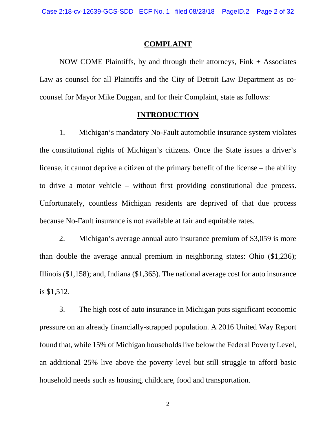#### **COMPLAINT**

NOW COME Plaintiffs, by and through their attorneys, Fink + Associates Law as counsel for all Plaintiffs and the City of Detroit Law Department as cocounsel for Mayor Mike Duggan, and for their Complaint, state as follows:

#### **INTRODUCTION**

1. Michigan's mandatory No-Fault automobile insurance system violates the constitutional rights of Michigan's citizens. Once the State issues a driver's license, it cannot deprive a citizen of the primary benefit of the license – the ability to drive a motor vehicle – without first providing constitutional due process. Unfortunately, countless Michigan residents are deprived of that due process because No-Fault insurance is not available at fair and equitable rates.

2. Michigan's average annual auto insurance premium of \$3,059 is more than double the average annual premium in neighboring states: Ohio (\$1,236); Illinois (\$1,158); and, Indiana (\$1,365). The national average cost for auto insurance is \$1,512.

3. The high cost of auto insurance in Michigan puts significant economic pressure on an already financially-strapped population. A 2016 United Way Report found that, while 15% of Michigan households live below the Federal Poverty Level, an additional 25% live above the poverty level but still struggle to afford basic household needs such as housing, childcare, food and transportation.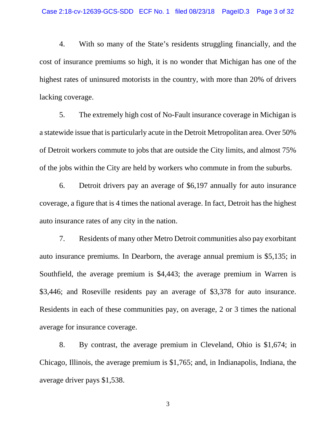4. With so many of the State's residents struggling financially, and the cost of insurance premiums so high, it is no wonder that Michigan has one of the highest rates of uninsured motorists in the country, with more than 20% of drivers lacking coverage.

5. The extremely high cost of No-Fault insurance coverage in Michigan is a statewide issue that is particularly acute in the Detroit Metropolitan area. Over 50% of Detroit workers commute to jobs that are outside the City limits, and almost 75% of the jobs within the City are held by workers who commute in from the suburbs.

6. Detroit drivers pay an average of \$6,197 annually for auto insurance coverage, a figure that is 4 times the national average. In fact, Detroit has the highest auto insurance rates of any city in the nation.

7. Residents of many other Metro Detroit communities also pay exorbitant auto insurance premiums. In Dearborn, the average annual premium is \$5,135; in Southfield, the average premium is \$4,443; the average premium in Warren is \$3,446; and Roseville residents pay an average of \$3,378 for auto insurance. Residents in each of these communities pay, on average, 2 or 3 times the national average for insurance coverage.

8. By contrast, the average premium in Cleveland, Ohio is \$1,674; in Chicago, Illinois, the average premium is \$1,765; and, in Indianapolis, Indiana, the average driver pays \$1,538.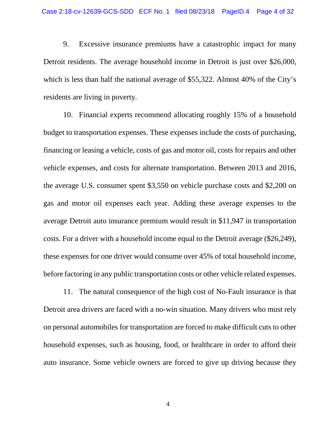9. Excessive insurance premiums have a catastrophic impact for many Detroit residents. The average household income in Detroit is just over \$26,000, which is less than half the national average of \$55,322. Almost 40% of the City's residents are living in poverty.

10. Financial experts recommend allocating roughly 15% of a household budget to transportation expenses. These expenses include the costs of purchasing, financing or leasing a vehicle, costs of gas and motor oil, costs for repairs and other vehicle expenses, and costs for alternate transportation. Between 2013 and 2016, the average U.S. consumer spent \$3,550 on vehicle purchase costs and \$2,200 on gas and motor oil expenses each year. Adding these average expenses to the average Detroit auto insurance premium would result in \$11,947 in transportation costs. For a driver with a household income equal to the Detroit average (\$26,249), these expenses for one driver would consume over 45% of total household income, before factoring in any public transportation costs or other vehicle related expenses.

11. The natural consequence of the high cost of No-Fault insurance is that Detroit area drivers are faced with a no-win situation. Many drivers who must rely on personal automobiles for transportation are forced to make difficult cuts to other household expenses, such as housing, food, or healthcare in order to afford their auto insurance. Some vehicle owners are forced to give up driving because they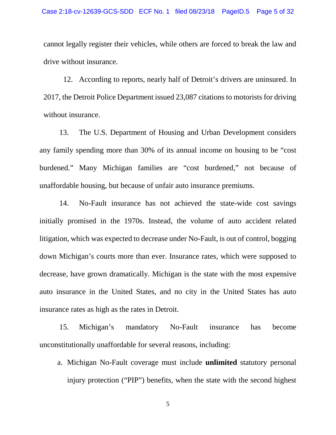cannot legally register their vehicles, while others are forced to break the law and drive without insurance.

12. According to reports, nearly half of Detroit's drivers are uninsured. In 2017, the Detroit Police Department issued 23,087 citations to motorists for driving without insurance.

13. The U.S. Department of Housing and Urban Development considers any family spending more than 30% of its annual income on housing to be "cost burdened." Many Michigan families are "cost burdened," not because of unaffordable housing, but because of unfair auto insurance premiums.

14. No-Fault insurance has not achieved the state-wide cost savings initially promised in the 1970s. Instead, the volume of auto accident related litigation, which was expected to decrease under No-Fault, is out of control, bogging down Michigan's courts more than ever. Insurance rates, which were supposed to decrease, have grown dramatically. Michigan is the state with the most expensive auto insurance in the United States, and no city in the United States has auto insurance rates as high as the rates in Detroit.

15. Michigan's mandatory No-Fault insurance has become unconstitutionally unaffordable for several reasons, including:

a. Michigan No-Fault coverage must include **unlimited** statutory personal injury protection ("PIP") benefits, when the state with the second highest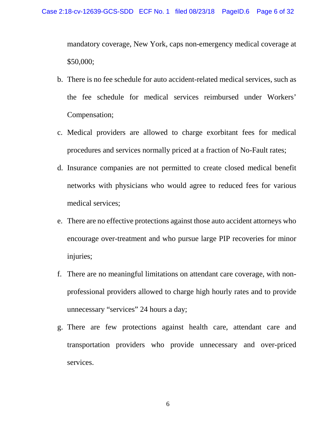mandatory coverage, New York, caps non-emergency medical coverage at \$50,000;

- b. There is no fee schedule for auto accident-related medical services, such as the fee schedule for medical services reimbursed under Workers' Compensation;
- c. Medical providers are allowed to charge exorbitant fees for medical procedures and services normally priced at a fraction of No-Fault rates;
- d. Insurance companies are not permitted to create closed medical benefit networks with physicians who would agree to reduced fees for various medical services;
- e. There are no effective protections against those auto accident attorneys who encourage over-treatment and who pursue large PIP recoveries for minor injuries;
- f. There are no meaningful limitations on attendant care coverage, with nonprofessional providers allowed to charge high hourly rates and to provide unnecessary "services" 24 hours a day;
- g. There are few protections against health care, attendant care and transportation providers who provide unnecessary and over-priced services.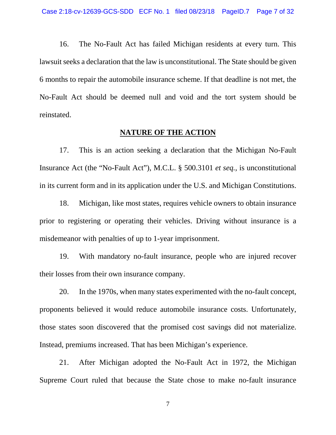16. The No-Fault Act has failed Michigan residents at every turn. This lawsuit seeks a declaration that the law is unconstitutional. The State should be given 6 months to repair the automobile insurance scheme. If that deadline is not met, the No-Fault Act should be deemed null and void and the tort system should be reinstated.

#### **NATURE OF THE ACTION**

17. This is an action seeking a declaration that the Michigan No-Fault Insurance Act (the "No-Fault Act"), M.C.L. § 500.3101 *et seq.,* is unconstitutional in its current form and in its application under the U.S. and Michigan Constitutions.

18. Michigan, like most states, requires vehicle owners to obtain insurance prior to registering or operating their vehicles. Driving without insurance is a misdemeanor with penalties of up to 1-year imprisonment.

19. With mandatory no-fault insurance, people who are injured recover their losses from their own insurance company.

20. In the 1970s, when many states experimented with the no-fault concept, proponents believed it would reduce automobile insurance costs. Unfortunately, those states soon discovered that the promised cost savings did not materialize. Instead, premiums increased. That has been Michigan's experience.

21. After Michigan adopted the No-Fault Act in 1972, the Michigan Supreme Court ruled that because the State chose to make no-fault insurance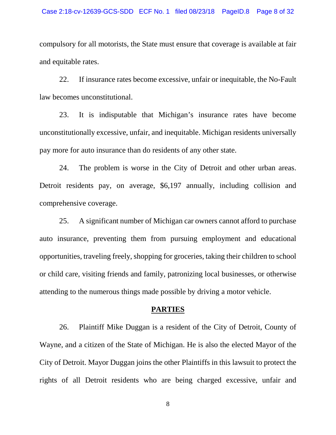compulsory for all motorists, the State must ensure that coverage is available at fair and equitable rates.

22. If insurance rates become excessive, unfair or inequitable, the No-Fault law becomes unconstitutional.

23. It is indisputable that Michigan's insurance rates have become unconstitutionally excessive, unfair, and inequitable. Michigan residents universally pay more for auto insurance than do residents of any other state.

24. The problem is worse in the City of Detroit and other urban areas. Detroit residents pay, on average, \$6,197 annually, including collision and comprehensive coverage.

25. A significant number of Michigan car owners cannot afford to purchase auto insurance, preventing them from pursuing employment and educational opportunities, traveling freely, shopping for groceries, taking their children to school or child care, visiting friends and family, patronizing local businesses, or otherwise attending to the numerous things made possible by driving a motor vehicle.

#### **PARTIES**

26. Plaintiff Mike Duggan is a resident of the City of Detroit, County of Wayne, and a citizen of the State of Michigan. He is also the elected Mayor of the City of Detroit. Mayor Duggan joins the other Plaintiffs in this lawsuit to protect the rights of all Detroit residents who are being charged excessive, unfair and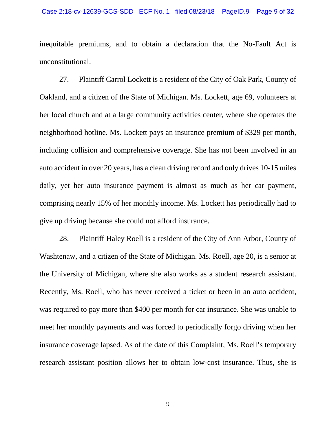inequitable premiums, and to obtain a declaration that the No-Fault Act is unconstitutional.

27. Plaintiff Carrol Lockett is a resident of the City of Oak Park, County of Oakland, and a citizen of the State of Michigan. Ms. Lockett, age 69, volunteers at her local church and at a large community activities center, where she operates the neighborhood hotline. Ms. Lockett pays an insurance premium of \$329 per month, including collision and comprehensive coverage. She has not been involved in an auto accident in over 20 years, has a clean driving record and only drives 10-15 miles daily, yet her auto insurance payment is almost as much as her car payment, comprising nearly 15% of her monthly income. Ms. Lockett has periodically had to give up driving because she could not afford insurance.

28. Plaintiff Haley Roell is a resident of the City of Ann Arbor, County of Washtenaw, and a citizen of the State of Michigan. Ms. Roell, age 20, is a senior at the University of Michigan, where she also works as a student research assistant. Recently, Ms. Roell, who has never received a ticket or been in an auto accident, was required to pay more than \$400 per month for car insurance. She was unable to meet her monthly payments and was forced to periodically forgo driving when her insurance coverage lapsed. As of the date of this Complaint, Ms. Roell's temporary research assistant position allows her to obtain low-cost insurance. Thus, she is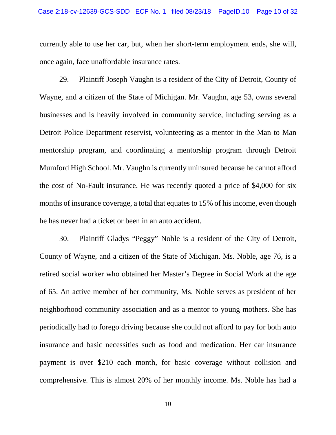currently able to use her car, but, when her short-term employment ends, she will, once again, face unaffordable insurance rates.

29. Plaintiff Joseph Vaughn is a resident of the City of Detroit, County of Wayne, and a citizen of the State of Michigan. Mr. Vaughn, age 53, owns several businesses and is heavily involved in community service, including serving as a Detroit Police Department reservist, volunteering as a mentor in the Man to Man mentorship program, and coordinating a mentorship program through Detroit Mumford High School. Mr. Vaughn is currently uninsured because he cannot afford the cost of No-Fault insurance. He was recently quoted a price of \$4,000 for six months of insurance coverage, a total that equates to 15% of his income, even though he has never had a ticket or been in an auto accident.

30. Plaintiff Gladys "Peggy" Noble is a resident of the City of Detroit, County of Wayne, and a citizen of the State of Michigan. Ms. Noble, age 76, is a retired social worker who obtained her Master's Degree in Social Work at the age of 65. An active member of her community, Ms. Noble serves as president of her neighborhood community association and as a mentor to young mothers. She has periodically had to forego driving because she could not afford to pay for both auto insurance and basic necessities such as food and medication. Her car insurance payment is over \$210 each month, for basic coverage without collision and comprehensive. This is almost 20% of her monthly income. Ms. Noble has had a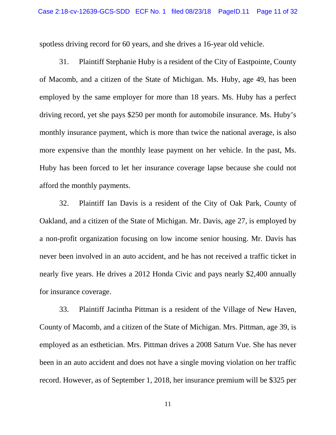spotless driving record for 60 years, and she drives a 16-year old vehicle.

31. Plaintiff Stephanie Huby is a resident of the City of Eastpointe, County of Macomb, and a citizen of the State of Michigan. Ms. Huby, age 49, has been employed by the same employer for more than 18 years. Ms. Huby has a perfect driving record, yet she pays \$250 per month for automobile insurance. Ms. Huby's monthly insurance payment, which is more than twice the national average, is also more expensive than the monthly lease payment on her vehicle. In the past, Ms. Huby has been forced to let her insurance coverage lapse because she could not afford the monthly payments.

32. Plaintiff Ian Davis is a resident of the City of Oak Park, County of Oakland, and a citizen of the State of Michigan. Mr. Davis, age 27, is employed by a non-profit organization focusing on low income senior housing. Mr. Davis has never been involved in an auto accident, and he has not received a traffic ticket in nearly five years. He drives a 2012 Honda Civic and pays nearly \$2,400 annually for insurance coverage.

33. Plaintiff Jacintha Pittman is a resident of the Village of New Haven, County of Macomb, and a citizen of the State of Michigan. Mrs. Pittman, age 39, is employed as an esthetician. Mrs. Pittman drives a 2008 Saturn Vue. She has never been in an auto accident and does not have a single moving violation on her traffic record. However, as of September 1, 2018, her insurance premium will be \$325 per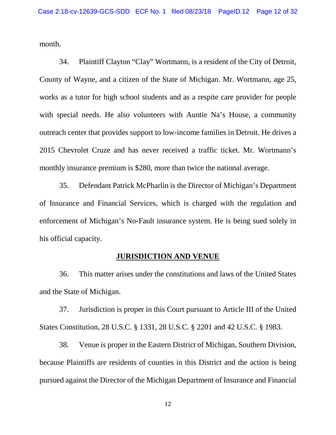month.

34. Plaintiff Clayton "Clay" Wortmann, is a resident of the City of Detroit, County of Wayne, and a citizen of the State of Michigan. Mr. Wortmann, age 25, works as a tutor for high school students and as a respite care provider for people with special needs. He also volunteers with Auntie Na's House, a community outreach center that provides support to low-income families in Detroit. He drives a 2015 Chevrolet Cruze and has never received a traffic ticket. Mr. Wortmann's monthly insurance premium is \$280, more than twice the national average.

35. Defendant Patrick McPharlin is the Director of Michigan's Department of Insurance and Financial Services, which is charged with the regulation and enforcement of Michigan's No-Fault insurance system. He is being sued solely in his official capacity.

### **JURISDICTION AND VENUE**

36. This matter arises under the constitutions and laws of the United States and the State of Michigan.

37. Jurisdiction is proper in this Court pursuant to Article III of the United States Constitution, 28 U.S.C. § 1331, 28 U.S.C. § 2201 and 42 U.S.C. § 1983.

38. Venue is proper in the Eastern District of Michigan, Southern Division, because Plaintiffs are residents of counties in this District and the action is being pursued against the Director of the Michigan Department of Insurance and Financial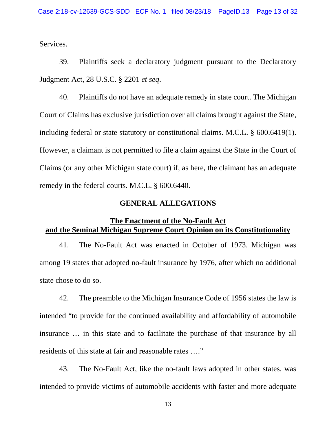Services.

39. Plaintiffs seek a declaratory judgment pursuant to the Declaratory Judgment Act, 28 U.S.C. § 2201 *et seq*.

40. Plaintiffs do not have an adequate remedy in state court. The Michigan Court of Claims has exclusive jurisdiction over all claims brought against the State, including federal or state statutory or constitutional claims. M.C.L. § 600.6419(1). However, a claimant is not permitted to file a claim against the State in the Court of Claims (or any other Michigan state court) if, as here, the claimant has an adequate remedy in the federal courts. M.C.L. § 600.6440.

#### **GENERAL ALLEGATIONS**

## **The Enactment of the No-Fault Act and the Seminal Michigan Supreme Court Opinion on its Constitutionality**

41. The No-Fault Act was enacted in October of 1973. Michigan was among 19 states that adopted no-fault insurance by 1976, after which no additional state chose to do so.

42. The preamble to the Michigan Insurance Code of 1956 states the law is intended "to provide for the continued availability and affordability of automobile insurance … in this state and to facilitate the purchase of that insurance by all residents of this state at fair and reasonable rates …."

43. The No-Fault Act, like the no-fault laws adopted in other states, was intended to provide victims of automobile accidents with faster and more adequate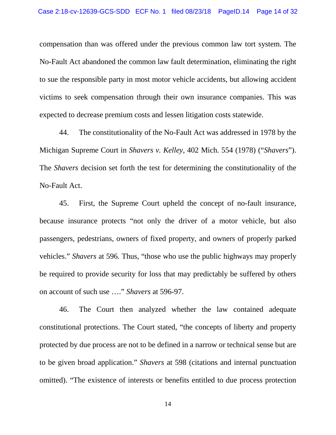compensation than was offered under the previous common law tort system. The No-Fault Act abandoned the common law fault determination, eliminating the right to sue the responsible party in most motor vehicle accidents, but allowing accident victims to seek compensation through their own insurance companies. This was expected to decrease premium costs and lessen litigation costs statewide.

44. The constitutionality of the No-Fault Act was addressed in 1978 by the Michigan Supreme Court in *Shavers v. Kelley*, 402 Mich. 554 (1978) ("*Shavers*"). The *Shavers* decision set forth the test for determining the constitutionality of the No-Fault Act.

45. First, the Supreme Court upheld the concept of no-fault insurance, because insurance protects "not only the driver of a motor vehicle, but also passengers, pedestrians, owners of fixed property, and owners of properly parked vehicles." *Shavers* at 596*.* Thus, "those who use the public highways may properly be required to provide security for loss that may predictably be suffered by others on account of such use …." *Shavers* at 596-97.

46. The Court then analyzed whether the law contained adequate constitutional protections. The Court stated, "the concepts of liberty and property protected by due process are not to be defined in a narrow or technical sense but are to be given broad application." *Shavers* at 598 (citations and internal punctuation omitted). "The existence of interests or benefits entitled to due process protection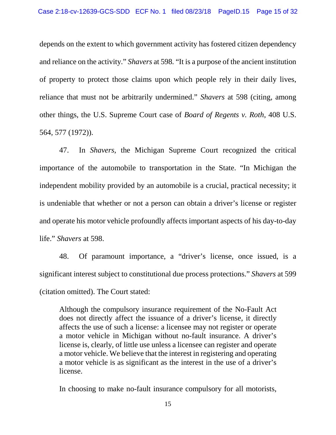depends on the extent to which government activity has fostered citizen dependency and reliance on the activity." *Shavers* at 598*.* "It is a purpose of the ancient institution of property to protect those claims upon which people rely in their daily lives, reliance that must not be arbitrarily undermined." *Shavers* at 598 (citing, among other things, the U.S. Supreme Court case of *Board of Regents v. Roth*, 408 U.S. 564, 577 (1972)).

47. In *Shavers*, the Michigan Supreme Court recognized the critical importance of the automobile to transportation in the State. "In Michigan the independent mobility provided by an automobile is a crucial, practical necessity; it is undeniable that whether or not a person can obtain a driver's license or register and operate his motor vehicle profoundly affects important aspects of his day-to-day life." *Shavers* at 598.

48. Of paramount importance, a "driver's license, once issued, is a significant interest subject to constitutional due process protections." *Shavers* at 599 (citation omitted). The Court stated:

Although the compulsory insurance requirement of the No-Fault Act does not directly affect the issuance of a driver's license, it directly affects the use of such a license: a licensee may not register or operate a motor vehicle in Michigan without no-fault insurance. A driver's license is, clearly, of little use unless a licensee can register and operate a motor vehicle. We believe that the interest in registering and operating a motor vehicle is as significant as the interest in the use of a driver's license.

In choosing to make no-fault insurance compulsory for all motorists,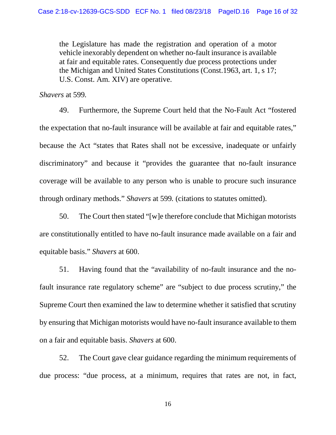the Legislature has made the registration and operation of a motor vehicle inexorably dependent on whether no-fault insurance is available at fair and equitable rates. Consequently due process protections under the Michigan and United States Constitutions (Const.1963, art. 1, s 17; U.S. Const. Am. XIV) are operative.

*Shavers* at 599*.* 

49. Furthermore, the Supreme Court held that the No-Fault Act "fostered the expectation that no-fault insurance will be available at fair and equitable rates," because the Act "states that Rates shall not be excessive, inadequate or unfairly discriminatory" and because it "provides the guarantee that no-fault insurance coverage will be available to any person who is unable to procure such insurance through ordinary methods." *Shavers* at 599*.* (citations to statutes omitted).

50. The Court then stated "[w]e therefore conclude that Michigan motorists are constitutionally entitled to have no-fault insurance made available on a fair and equitable basis." *Shavers* at 600.

51. Having found that the "availability of no-fault insurance and the nofault insurance rate regulatory scheme" are "subject to due process scrutiny," the Supreme Court then examined the law to determine whether it satisfied that scrutiny by ensuring that Michigan motorists would have no-fault insurance available to them on a fair and equitable basis. *Shavers* at 600.

52. The Court gave clear guidance regarding the minimum requirements of due process: "due process, at a minimum, requires that rates are not, in fact,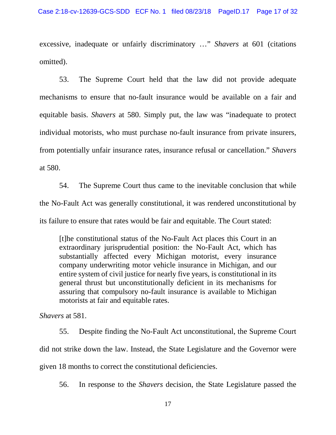excessive, inadequate or unfairly discriminatory …" *Shavers* at 601 (citations omitted).

53. The Supreme Court held that the law did not provide adequate mechanisms to ensure that no-fault insurance would be available on a fair and equitable basis. *Shavers* at 580. Simply put, the law was "inadequate to protect individual motorists, who must purchase no-fault insurance from private insurers, from potentially unfair insurance rates, insurance refusal or cancellation." *Shavers*  at 580.

54. The Supreme Court thus came to the inevitable conclusion that while the No-Fault Act was generally constitutional, it was rendered unconstitutional by its failure to ensure that rates would be fair and equitable. The Court stated:

[t]he constitutional status of the No-Fault Act places this Court in an extraordinary jurisprudential position: the No-Fault Act, which has substantially affected every Michigan motorist, every insurance company underwriting motor vehicle insurance in Michigan, and our entire system of civil justice for nearly five years, is constitutional in its general thrust but unconstitutionally deficient in its mechanisms for assuring that compulsory no-fault insurance is available to Michigan motorists at fair and equitable rates.

*Shavers* at 581.

55. Despite finding the No-Fault Act unconstitutional, the Supreme Court did not strike down the law. Instead, the State Legislature and the Governor were given 18 months to correct the constitutional deficiencies.

56. In response to the *Shavers* decision, the State Legislature passed the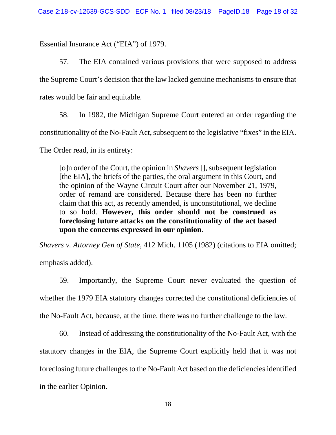Essential Insurance Act ("EIA") of 1979.

57. The EIA contained various provisions that were supposed to address the Supreme Court's decision that the law lacked genuine mechanisms to ensure that rates would be fair and equitable.

58. In 1982, the Michigan Supreme Court entered an order regarding the constitutionality of the No-Fault Act, subsequent to the legislative "fixes" in the EIA.

The Order read, in its entirety:

[o]n order of the Court, the opinion in *Shavers* [], subsequent legislation [the EIA], the briefs of the parties, the oral argument in this Court, and the opinion of the Wayne Circuit Court after our November 21, 1979, order of remand are considered. Because there has been no further claim that this act, as recently amended, is unconstitutional, we decline to so hold. **However, this order should not be construed as foreclosing future attacks on the constitutionality of the act based upon the concerns expressed in our opinion**.

*Shavers v. Attorney Gen of State*, 412 Mich. 1105 (1982) (citations to EIA omitted; emphasis added).

59. Importantly, the Supreme Court never evaluated the question of whether the 1979 EIA statutory changes corrected the constitutional deficiencies of the No-Fault Act, because, at the time, there was no further challenge to the law.

60. Instead of addressing the constitutionality of the No-Fault Act, with the statutory changes in the EIA, the Supreme Court explicitly held that it was not foreclosing future challenges to the No-Fault Act based on the deficiencies identified in the earlier Opinion.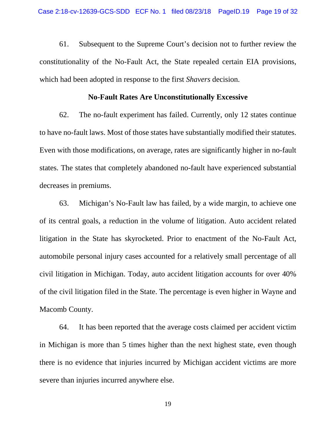61. Subsequent to the Supreme Court's decision not to further review the constitutionality of the No-Fault Act, the State repealed certain EIA provisions, which had been adopted in response to the first *Shavers* decision.

#### **No-Fault Rates Are Unconstitutionally Excessive**

62. The no-fault experiment has failed. Currently, only 12 states continue to have no-fault laws. Most of those states have substantially modified their statutes. Even with those modifications, on average, rates are significantly higher in no-fault states. The states that completely abandoned no-fault have experienced substantial decreases in premiums.

63. Michigan's No-Fault law has failed, by a wide margin, to achieve one of its central goals, a reduction in the volume of litigation. Auto accident related litigation in the State has skyrocketed. Prior to enactment of the No-Fault Act, automobile personal injury cases accounted for a relatively small percentage of all civil litigation in Michigan. Today, auto accident litigation accounts for over 40% of the civil litigation filed in the State. The percentage is even higher in Wayne and Macomb County.

64. It has been reported that the average costs claimed per accident victim in Michigan is more than 5 times higher than the next highest state, even though there is no evidence that injuries incurred by Michigan accident victims are more severe than injuries incurred anywhere else.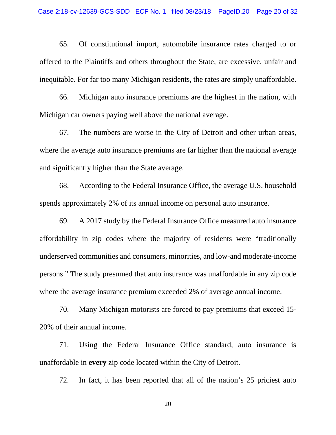65. Of constitutional import, automobile insurance rates charged to or offered to the Plaintiffs and others throughout the State, are excessive, unfair and inequitable. For far too many Michigan residents, the rates are simply unaffordable.

66. Michigan auto insurance premiums are the highest in the nation, with Michigan car owners paying well above the national average.

67. The numbers are worse in the City of Detroit and other urban areas, where the average auto insurance premiums are far higher than the national average and significantly higher than the State average.

68. According to the Federal Insurance Office, the average U.S. household spends approximately 2% of its annual income on personal auto insurance.

69. A 2017 study by the Federal Insurance Office measured auto insurance affordability in zip codes where the majority of residents were "traditionally underserved communities and consumers, minorities, and low-and moderate-income persons." The study presumed that auto insurance was unaffordable in any zip code where the average insurance premium exceeded 2% of average annual income.

70. Many Michigan motorists are forced to pay premiums that exceed 15- 20% of their annual income.

71. Using the Federal Insurance Office standard, auto insurance is unaffordable in **every** zip code located within the City of Detroit.

72. In fact, it has been reported that all of the nation's 25 priciest auto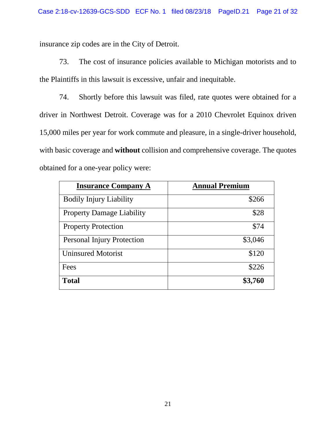insurance zip codes are in the City of Detroit.

73. The cost of insurance policies available to Michigan motorists and to the Plaintiffs in this lawsuit is excessive, unfair and inequitable.

74. Shortly before this lawsuit was filed, rate quotes were obtained for a driver in Northwest Detroit. Coverage was for a 2010 Chevrolet Equinox driven 15,000 miles per year for work commute and pleasure, in a single-driver household, with basic coverage and **without** collision and comprehensive coverage. The quotes obtained for a one-year policy were:

| <b>Insurance Company A</b>        | <b>Annual Premium</b> |
|-----------------------------------|-----------------------|
| <b>Bodily Injury Liability</b>    | \$266                 |
| <b>Property Damage Liability</b>  | \$28                  |
| <b>Property Protection</b>        | \$74                  |
| <b>Personal Injury Protection</b> | \$3,046               |
| <b>Uninsured Motorist</b>         | \$120                 |
| Fees                              | \$226                 |
| <b>Total</b>                      | \$3,760               |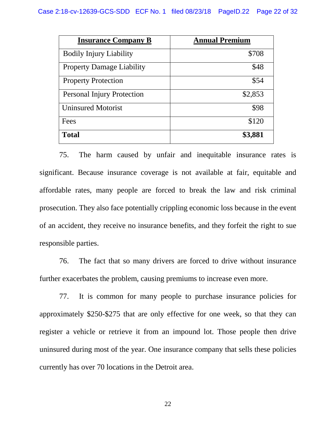| <b>Insurance Company B</b>        | <b>Annual Premium</b> |
|-----------------------------------|-----------------------|
| <b>Bodily Injury Liability</b>    | \$708                 |
| <b>Property Damage Liability</b>  | \$48                  |
| <b>Property Protection</b>        | \$54                  |
| <b>Personal Injury Protection</b> | \$2,853               |
| <b>Uninsured Motorist</b>         | \$98                  |
| Fees                              | \$120                 |
| <b>Total</b>                      | \$3,881               |

75. The harm caused by unfair and inequitable insurance rates is significant. Because insurance coverage is not available at fair, equitable and affordable rates, many people are forced to break the law and risk criminal prosecution. They also face potentially crippling economic loss because in the event of an accident, they receive no insurance benefits, and they forfeit the right to sue responsible parties.

76. The fact that so many drivers are forced to drive without insurance further exacerbates the problem, causing premiums to increase even more.

77. It is common for many people to purchase insurance policies for approximately \$250-\$275 that are only effective for one week, so that they can register a vehicle or retrieve it from an impound lot. Those people then drive uninsured during most of the year. One insurance company that sells these policies currently has over 70 locations in the Detroit area.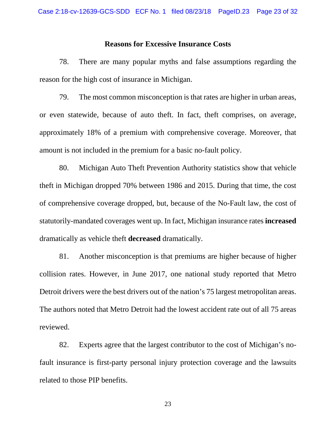#### **Reasons for Excessive Insurance Costs**

78. There are many popular myths and false assumptions regarding the reason for the high cost of insurance in Michigan.

79. The most common misconception is that rates are higher in urban areas, or even statewide, because of auto theft. In fact, theft comprises, on average, approximately 18% of a premium with comprehensive coverage. Moreover, that amount is not included in the premium for a basic no-fault policy.

80. Michigan Auto Theft Prevention Authority statistics show that vehicle theft in Michigan dropped 70% between 1986 and 2015. During that time, the cost of comprehensive coverage dropped, but, because of the No-Fault law, the cost of statutorily-mandated coverages went up. In fact, Michigan insurance rates **increased** dramatically as vehicle theft **decreased** dramatically.

81. Another misconception is that premiums are higher because of higher collision rates. However, in June 2017, one national study reported that Metro Detroit drivers were the best drivers out of the nation's 75 largest metropolitan areas. The authors noted that Metro Detroit had the lowest accident rate out of all 75 areas reviewed.

82. Experts agree that the largest contributor to the cost of Michigan's nofault insurance is first-party personal injury protection coverage and the lawsuits related to those PIP benefits.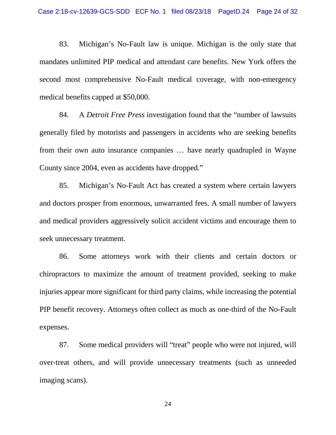83. Michigan's No-Fault law is unique. Michigan is the only state that mandates unlimited PIP medical and attendant care benefits. New York offers the second most comprehensive No-Fault medical coverage, with non-emergency medical benefits capped at \$50,000.

84. A *Detroit Free Press* investigation found that the "number of lawsuits generally filed by motorists and passengers in accidents who are seeking benefits from their own auto insurance companies … have nearly quadrupled in Wayne County since 2004, even as accidents have dropped."

85. Michigan's No-Fault Act has created a system where certain lawyers and doctors prosper from enormous, unwarranted fees. A small number of lawyers and medical providers aggressively solicit accident victims and encourage them to seek unnecessary treatment.

86. Some attorneys work with their clients and certain doctors or chiropractors to maximize the amount of treatment provided, seeking to make injuries appear more significant for third party claims, while increasing the potential PIP benefit recovery. Attorneys often collect as much as one-third of the No-Fault expenses.

87. Some medical providers will "treat" people who were not injured, will over-treat others, and will provide unnecessary treatments (such as unneeded imaging scans).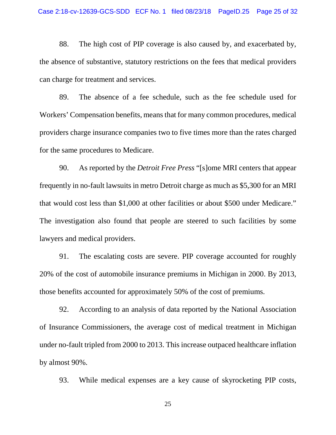88. The high cost of PIP coverage is also caused by, and exacerbated by, the absence of substantive, statutory restrictions on the fees that medical providers can charge for treatment and services.

89. The absence of a fee schedule, such as the fee schedule used for Workers' Compensation benefits, means that for many common procedures, medical providers charge insurance companies two to five times more than the rates charged for the same procedures to Medicare.

90. As reported by the *Detroit Free Press* "[s]ome MRI centers that appear frequently in no-fault lawsuits in metro Detroit charge as much as \$5,300 for an MRI that would cost less than \$1,000 at other facilities or about \$500 under Medicare." The investigation also found that people are steered to such facilities by some lawyers and medical providers.

91. The escalating costs are severe. PIP coverage accounted for roughly 20% of the cost of automobile insurance premiums in Michigan in 2000. By 2013, those benefits accounted for approximately 50% of the cost of premiums.

92. According to an analysis of data reported by the National Association of Insurance Commissioners, the average cost of medical treatment in Michigan under no-fault tripled from 2000 to 2013. This increase outpaced healthcare inflation by almost 90%.

93. While medical expenses are a key cause of skyrocketing PIP costs,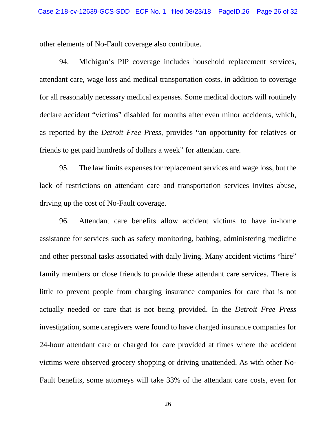other elements of No-Fault coverage also contribute.

94. Michigan's PIP coverage includes household replacement services, attendant care, wage loss and medical transportation costs, in addition to coverage for all reasonably necessary medical expenses. Some medical doctors will routinely declare accident "victims" disabled for months after even minor accidents, which, as reported by the *Detroit Free Press*, provides "an opportunity for relatives or friends to get paid hundreds of dollars a week" for attendant care.

95. The law limits expenses for replacement services and wage loss, but the lack of restrictions on attendant care and transportation services invites abuse, driving up the cost of No-Fault coverage.

96. Attendant care benefits allow accident victims to have in-home assistance for services such as safety monitoring, bathing, administering medicine and other personal tasks associated with daily living. Many accident victims "hire" family members or close friends to provide these attendant care services. There is little to prevent people from charging insurance companies for care that is not actually needed or care that is not being provided. In the *Detroit Free Press*  investigation, some caregivers were found to have charged insurance companies for 24-hour attendant care or charged for care provided at times where the accident victims were observed grocery shopping or driving unattended. As with other No-Fault benefits, some attorneys will take 33% of the attendant care costs, even for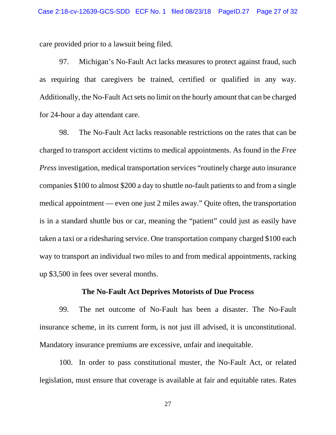care provided prior to a lawsuit being filed.

97. Michigan's No-Fault Act lacks measures to protect against fraud, such as requiring that caregivers be trained, certified or qualified in any way. Additionally, the No-Fault Act sets no limit on the hourly amount that can be charged for 24-hour a day attendant care.

98. The No-Fault Act lacks reasonable restrictions on the rates that can be charged to transport accident victims to medical appointments. As found in the *Free Press* investigation, medical transportation services "routinely charge auto insurance companies \$100 to almost \$200 a day to shuttle no-fault patients to and from a single medical appointment — even one just 2 miles away." Quite often, the transportation is in a standard shuttle bus or car, meaning the "patient" could just as easily have taken a taxi or a ridesharing service. One transportation company charged \$100 each way to transport an individual two miles to and from medical appointments, racking up \$3,500 in fees over several months.

#### **The No-Fault Act Deprives Motorists of Due Process**

99. The net outcome of No-Fault has been a disaster. The No-Fault insurance scheme, in its current form, is not just ill advised, it is unconstitutional. Mandatory insurance premiums are excessive, unfair and inequitable.

100. In order to pass constitutional muster, the No-Fault Act, or related legislation, must ensure that coverage is available at fair and equitable rates. Rates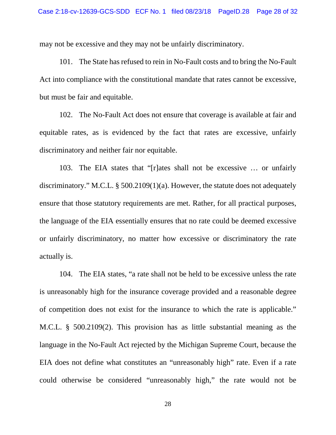may not be excessive and they may not be unfairly discriminatory.

101. The State has refused to rein in No-Fault costs and to bring the No-Fault Act into compliance with the constitutional mandate that rates cannot be excessive, but must be fair and equitable.

102. The No-Fault Act does not ensure that coverage is available at fair and equitable rates, as is evidenced by the fact that rates are excessive, unfairly discriminatory and neither fair nor equitable.

103. The EIA states that "[r]ates shall not be excessive … or unfairly discriminatory." M.C.L. § 500.2109(1)(a). However, the statute does not adequately ensure that those statutory requirements are met. Rather, for all practical purposes, the language of the EIA essentially ensures that no rate could be deemed excessive or unfairly discriminatory, no matter how excessive or discriminatory the rate actually is.

104. The EIA states, "a rate shall not be held to be excessive unless the rate is unreasonably high for the insurance coverage provided and a reasonable degree of competition does not exist for the insurance to which the rate is applicable." M.C.L. § 500.2109(2). This provision has as little substantial meaning as the language in the No-Fault Act rejected by the Michigan Supreme Court, because the EIA does not define what constitutes an "unreasonably high" rate. Even if a rate could otherwise be considered "unreasonably high," the rate would not be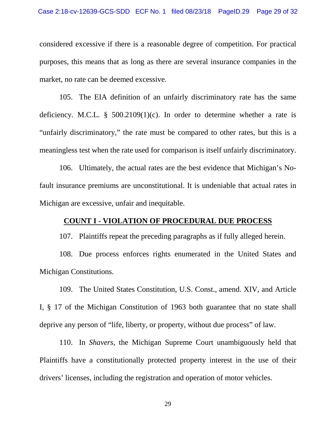considered excessive if there is a reasonable degree of competition. For practical purposes, this means that as long as there are several insurance companies in the market, no rate can be deemed excessive.

105. The EIA definition of an unfairly discriminatory rate has the same deficiency. M.C.L. §  $500.2109(1)(c)$ . In order to determine whether a rate is "unfairly discriminatory," the rate must be compared to other rates, but this is a meaningless test when the rate used for comparison is itself unfairly discriminatory.

106. Ultimately, the actual rates are the best evidence that Michigan's Nofault insurance premiums are unconstitutional. It is undeniable that actual rates in Michigan are excessive, unfair and inequitable.

### **COUNT I - VIOLATION OF PROCEDURAL DUE PROCESS**

107. Plaintiffs repeat the preceding paragraphs as if fully alleged herein.

108. Due process enforces rights enumerated in the United States and Michigan Constitutions.

109. The United States Constitution, U.S. Const., amend. XIV, and Article I, § 17 of the Michigan Constitution of 1963 both guarantee that no state shall deprive any person of "life, liberty, or property, without due process" of law.

110. In *Shavers*, the Michigan Supreme Court unambiguously held that Plaintiffs have a constitutionally protected property interest in the use of their drivers' licenses, including the registration and operation of motor vehicles.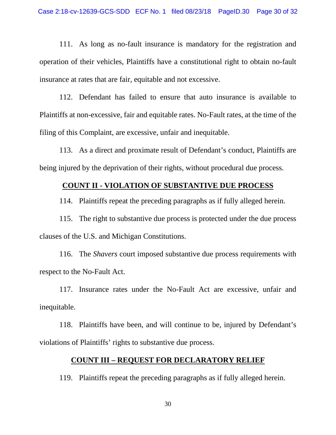111. As long as no-fault insurance is mandatory for the registration and operation of their vehicles, Plaintiffs have a constitutional right to obtain no-fault insurance at rates that are fair, equitable and not excessive.

112. Defendant has failed to ensure that auto insurance is available to Plaintiffs at non-excessive, fair and equitable rates. No-Fault rates, at the time of the filing of this Complaint, are excessive, unfair and inequitable.

113. As a direct and proximate result of Defendant's conduct, Plaintiffs are being injured by the deprivation of their rights, without procedural due process.

# **COUNT II - VIOLATION OF SUBSTANTIVE DUE PROCESS**

114. Plaintiffs repeat the preceding paragraphs as if fully alleged herein.

115. The right to substantive due process is protected under the due process clauses of the U.S. and Michigan Constitutions.

116. The *Shavers* court imposed substantive due process requirements with respect to the No-Fault Act.

117. Insurance rates under the No-Fault Act are excessive, unfair and inequitable.

118. Plaintiffs have been, and will continue to be, injured by Defendant's violations of Plaintiffs' rights to substantive due process.

### **COUNT III – REQUEST FOR DECLARATORY RELIEF**

119. Plaintiffs repeat the preceding paragraphs as if fully alleged herein.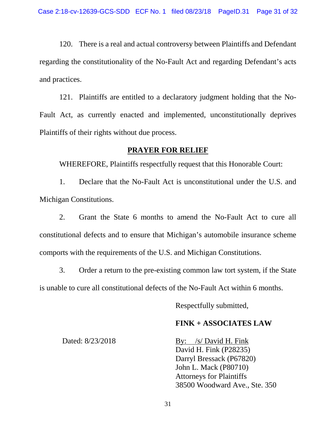120. There is a real and actual controversy between Plaintiffs and Defendant regarding the constitutionality of the No-Fault Act and regarding Defendant's acts and practices.

121. Plaintiffs are entitled to a declaratory judgment holding that the No-Fault Act, as currently enacted and implemented, unconstitutionally deprives Plaintiffs of their rights without due process.

### **PRAYER FOR RELIEF**

WHEREFORE, Plaintiffs respectfully request that this Honorable Court:

1. Declare that the No-Fault Act is unconstitutional under the U.S. and Michigan Constitutions.

2. Grant the State 6 months to amend the No-Fault Act to cure all constitutional defects and to ensure that Michigan's automobile insurance scheme comports with the requirements of the U.S. and Michigan Constitutions.

3. Order a return to the pre-existing common law tort system, if the State is unable to cure all constitutional defects of the No-Fault Act within 6 months.

Respectfully submitted,

## **FINK + ASSOCIATES LAW**

Dated: 8/23/2018

By: /s/ David H. Fink David H. Fink (P28235) Darryl Bressack (P67820) John L. Mack (P80710) Attorneys for Plaintiffs 38500 Woodward Ave., Ste. 350